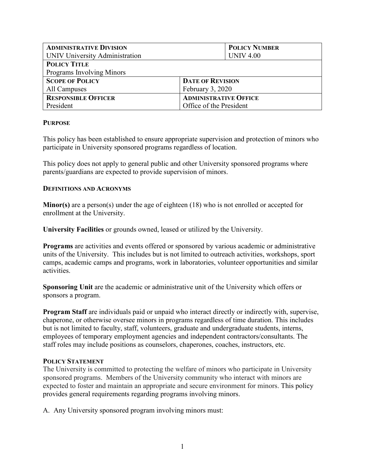| <b>ADMINISTRATIVE DIVISION</b> | <b>POLICY NUMBER</b>         |
|--------------------------------|------------------------------|
| UNIV University Administration | <b>UNIV 4.00</b>             |
| <b>POLICY TITLE</b>            |                              |
| Programs Involving Minors      |                              |
| <b>SCOPE OF POLICY</b>         | <b>DATE OF REVISION</b>      |
| All Campuses                   | February 3, 2020             |
| <b>RESPONSIBLE OFFICER</b>     | <b>ADMINISTRATIVE OFFICE</b> |
| President                      | Office of the President      |

### **PURPOSE**

This policy has been established to ensure appropriate supervision and protection of minors who participate in University sponsored programs regardless of location.

This policy does not apply to general public and other University sponsored programs where parents/guardians are expected to provide supervision of minors.

### **DEFINITIONS AND ACRONYMS**

**Minor(s)** are a person(s) under the age of eighteen (18) who is not enrolled or accepted for enrollment at the University.

**University Facilities** or grounds owned, leased or utilized by the University.

**Programs** are activities and events offered or sponsored by various academic or administrative units of the University. This includes but is not limited to outreach activities, workshops, sport camps, academic camps and programs, work in laboratories, volunteer opportunities and similar activities.

**Sponsoring Unit** are the academic or administrative unit of the University which offers or sponsors a program.

**Program Staff** are individuals paid or unpaid who interact directly or indirectly with, supervise, chaperone, or otherwise oversee minors in programs regardless of time duration. This includes but is not limited to faculty, staff, volunteers, graduate and undergraduate students, interns, employees of temporary employment agencies and independent contractors/consultants. The staff roles may include positions as counselors, chaperones, coaches, instructors, etc.

#### **POLICY STATEMENT**

The University is committed to protecting the welfare of minors who participate in University sponsored programs. Members of the University community who interact with minors are expected to foster and maintain an appropriate and secure environment for minors. This policy provides general requirements regarding programs involving minors.

A. Any University sponsored program involving minors must: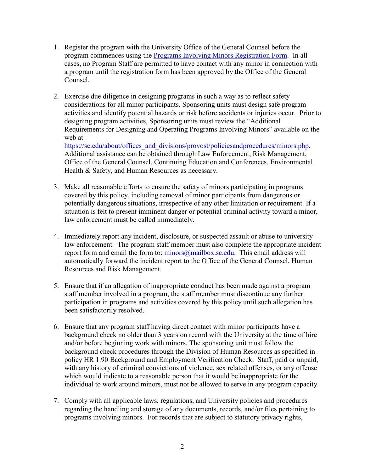- 1. Register the program with the University Office of the General Counsel before the program commences using the **Programs Involving Minors Registration Form.** In all cases, no Program Staff are permitted to have contact with any minor in connection with a program until the registration form has been approved by the Office of the General Counsel.
- 2. Exercise due diligence in designing programs in such a way as to reflect safety considerations for all minor participants. Sponsoring units must design safe program activities and identify potential hazards or risk before accidents or injuries occur. Prior to designing program activities, Sponsoring units must review the "Additional Requirements for Designing and Operating Programs Involving Minors" available on the web at

[https://sc.edu/about/offices\\_and\\_divisions/provost/policiesandprocedures/minors.php.](https://sc.edu/about/offices_and_divisions/provost/policiesandprocedures/minors.php) Additional assistance can be obtained through Law Enforcement, Risk Management, Office of the General Counsel, Continuing Education and Conferences, Environmental Health & Safety, and Human Resources as necessary.

- 3. Make all reasonable efforts to ensure the safety of minors participating in programs covered by this policy, including removal of minor participants from dangerous or potentially dangerous situations, irrespective of any other limitation or requirement. If a situation is felt to present imminent danger or potential criminal activity toward a minor, law enforcement must be called immediately.
- 4. Immediately report any incident, disclosure, or suspected assault or abuse to university law enforcement. The program staff member must also complete the appropriate incident report form and email the form to:  $\frac{\text{minors}}{\text{(a)}}$  mailbox.sc.edu. This email address will automatically forward the incident report to the Office of the General Counsel, Human Resources and Risk Management.
- 5. Ensure that if an allegation of inappropriate conduct has been made against a program staff member involved in a program, the staff member must discontinue any further participation in programs and activities covered by this policy until such allegation has been satisfactorily resolved.
- 6. Ensure that any program staff having direct contact with minor participants have a background check no older than 3 years on record with the University at the time of hire and/or before beginning work with minors. The sponsoring unit must follow the background check procedures through the Division of Human Resources as specified in policy HR 1.90 Background and Employment Verification Check. Staff, paid or unpaid, with any history of criminal convictions of violence, sex related offenses, or any offense which would indicate to a reasonable person that it would be inappropriate for the individual to work around minors, must not be allowed to serve in any program capacity.
- 7. Comply with all applicable laws, regulations, and University policies and procedures regarding the handling and storage of any documents, records, and/or files pertaining to programs involving minors. For records that are subject to statutory privacy rights,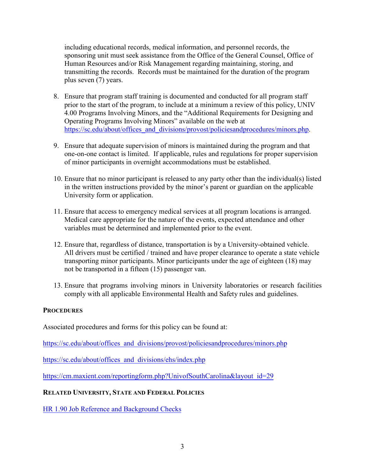including educational records, medical information, and personnel records, the sponsoring unit must seek assistance from the Office of the General Counsel, Office of Human Resources and/or Risk Management regarding maintaining, storing, and transmitting the records. Records must be maintained for the duration of the program plus seven (7) years.

- 8. Ensure that program staff training is documented and conducted for all program staff prior to the start of the program, to include at a minimum a review of this policy, UNIV 4.00 Programs Involving Minors, and the "Additional Requirements for Designing and Operating Programs Involving Minors" available on the web at [https://sc.edu/about/offices\\_and\\_divisions/provost/policiesandprocedures/minors.php.](https://sc.edu/about/offices_and_divisions/provost/policiesandprocedures/minors.php)
- 9. Ensure that adequate supervision of minors is maintained during the program and that one-on-one contact is limited. If applicable, rules and regulations for proper supervision of minor participants in overnight accommodations must be established.
- 10. Ensure that no minor participant is released to any party other than the individual(s) listed in the written instructions provided by the minor's parent or guardian on the applicable University form or application.
- 11. Ensure that access to emergency medical services at all program locations is arranged. Medical care appropriate for the nature of the events, expected attendance and other variables must be determined and implemented prior to the event.
- 12. Ensure that, regardless of distance, transportation is by a University-obtained vehicle. All drivers must be certified / trained and have proper clearance to operate a state vehicle transporting minor participants. Minor participants under the age of eighteen (18) may not be transported in a fifteen (15) passenger van.
- 13. Ensure that programs involving minors in University laboratories or research facilities comply with all applicable Environmental Health and Safety rules and guidelines.

# **PROCEDURES**

Associated procedures and forms for this policy can be found at:

https://sc.edu/about/offices and divisions/provost/policiesandprocedures/minors.php

[https://sc.edu/about/offices\\_and\\_divisions/ehs/index.php](https://sc.edu/about/offices_and_divisions/ehs/index.php)

[https://cm.maxient.com/reportingform.php?UnivofSouthCarolina&layout\\_id=29](https://cm.maxient.com/reportingform.php?UnivofSouthCarolina&layout_id=29)

# **RELATED UNIVERSITY, STATE AND FEDERAL POLICIES**

[HR 1.90 Job Reference and Background Checks](http://www.sc.edu/policies/ppm/hr190.pdf)